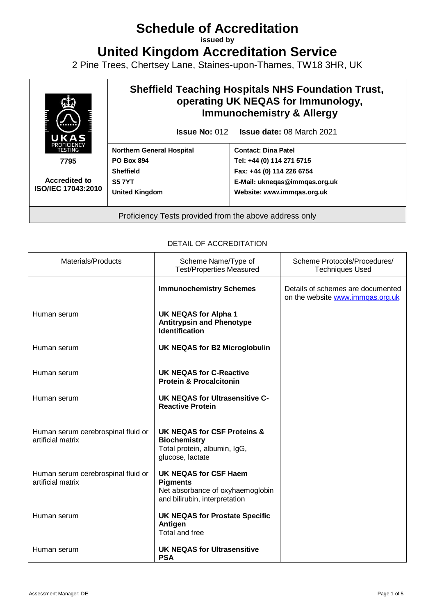# **Schedule of Accreditation**

**issued by**

**United Kingdom Accreditation Service**

2 Pine Trees, Chertsey Lane, Staines-upon-Thames, TW18 3HR, UK



#### DETAIL OF ACCREDITATION

| Materials/Products                                      | Scheme Name/Type of<br><b>Test/Properties Measured</b>                                                               | Scheme Protocols/Procedures/<br><b>Techniques Used</b>                |
|---------------------------------------------------------|----------------------------------------------------------------------------------------------------------------------|-----------------------------------------------------------------------|
|                                                         | <b>Immunochemistry Schemes</b>                                                                                       | Details of schemes are documented<br>on the website www.immqas.org.uk |
| Human serum                                             | <b>UK NEQAS for Alpha 1</b><br><b>Antitrypsin and Phenotype</b><br><b>Identification</b>                             |                                                                       |
| Human serum                                             | <b>UK NEQAS for B2 Microglobulin</b>                                                                                 |                                                                       |
| Human serum                                             | UK NEQAS for C-Reactive<br><b>Protein &amp; Procalcitonin</b>                                                        |                                                                       |
| Human serum                                             | <b>UK NEQAS for Ultrasensitive C-</b><br><b>Reactive Protein</b>                                                     |                                                                       |
| Human serum cerebrospinal fluid or<br>artificial matrix | UK NEQAS for CSF Proteins &<br><b>Biochemistry</b><br>Total protein, albumin, IgG,<br>glucose, lactate               |                                                                       |
| Human serum cerebrospinal fluid or<br>artificial matrix | <b>UK NEQAS for CSF Haem</b><br><b>Pigments</b><br>Net absorbance of oxyhaemoglobin<br>and bilirubin, interpretation |                                                                       |
| Human serum                                             | <b>UK NEQAS for Prostate Specific</b><br>Antigen<br><b>Total and free</b>                                            |                                                                       |
| Human serum                                             | <b>UK NEQAS for Ultrasensitive</b><br><b>PSA</b>                                                                     |                                                                       |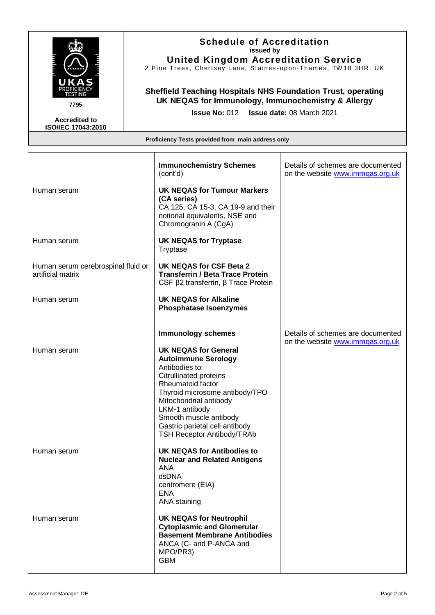

**7795**

**Accredited to ISO/IEC 17043:2010**

# **Schedule of Accreditation issued by**

**United Kingdom Accreditation Service** 2 Pine Trees, Chertsey Lane, Staines-upon-Thames, TW18 3HR, UK

## **Sheffield Teaching Hospitals NHS Foundation Trust, operating UK NEQAS for Immunology, Immunochemistry & Allergy**

**Issue No:** 012 **Issue date:** 08 March 2021

|                                                         | <b>Immunochemistry Schemes</b><br>(cont'd)                                                                                                                                                                                                                                                                                             | Details of schemes are documented<br>on the website www.immgas.org.uk |
|---------------------------------------------------------|----------------------------------------------------------------------------------------------------------------------------------------------------------------------------------------------------------------------------------------------------------------------------------------------------------------------------------------|-----------------------------------------------------------------------|
| Human serum                                             | <b>UK NEQAS for Tumour Markers</b><br>(CA series)<br>CA 125, CA 15-3, CA 19-9 and their<br>notional equivalents, NSE and<br>Chromogranin A (CgA)                                                                                                                                                                                       |                                                                       |
| Human serum                                             | <b>UK NEQAS for Tryptase</b><br>Tryptase                                                                                                                                                                                                                                                                                               |                                                                       |
| Human serum cerebrospinal fluid or<br>artificial matrix | <b>UK NEQAS for CSF Beta 2</b><br><b>Transferrin / Beta Trace Protein</b><br>CSF $\beta$ 2 transferrin, $\beta$ Trace Protein                                                                                                                                                                                                          |                                                                       |
| Human serum                                             | <b>UK NEQAS for Alkaline</b><br><b>Phosphatase Isoenzymes</b>                                                                                                                                                                                                                                                                          |                                                                       |
| Human serum                                             | <b>Immunology schemes</b><br><b>UK NEQAS for General</b><br><b>Autoimmune Serology</b><br>Antibodies to:<br><b>Citrullinated proteins</b><br>Rheumatoid factor<br>Thyroid microsome antibody/TPO<br>Mitochondrial antibody<br>LKM-1 antibody<br>Smooth muscle antibody<br>Gastric parietal cell antibody<br>TSH Receptor Antibody/TRAb | Details of schemes are documented<br>on the website www.immqas.org.uk |
| Human serum                                             | UK NEQAS for Antibodies to<br><b>Nuclear and Related Antigens</b><br><b>ANA</b><br>dsDNA<br>centromere (EIA)<br><b>ENA</b><br>ANA staining                                                                                                                                                                                             |                                                                       |
| Human serum                                             | <b>UK NEQAS for Neutrophil</b><br><b>Cytoplasmic and Glomerular</b><br><b>Basement Membrane Antibodies</b><br>ANCA (C- and P-ANCA and<br>MPO/PR3)<br><b>GBM</b>                                                                                                                                                                        |                                                                       |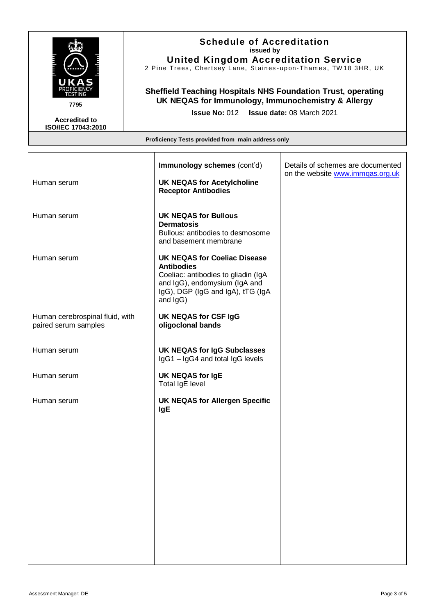

**Accredited to ISO/IEC 17043:2010** **Schedule of Accreditation issued by**

**United Kingdom Accreditation Service** 2 Pine Trees, Chertsey Lane, Staines-upon-Thames, TW18 3HR, UK

#### **Sheffield Teaching Hospitals NHS Foundation Trust, operating UK NEQAS for Immunology, Immunochemistry & Allergy**

**Issue No:** 012 **Issue date:** 08 March 2021

| Human serum                                             | Immunology schemes (cont'd)<br><b>UK NEQAS for Acetylcholine</b>                                                                                                                  | Details of schemes are documented<br>on the website www.immgas.org.uk |
|---------------------------------------------------------|-----------------------------------------------------------------------------------------------------------------------------------------------------------------------------------|-----------------------------------------------------------------------|
|                                                         | <b>Receptor Antibodies</b>                                                                                                                                                        |                                                                       |
| Human serum                                             | <b>UK NEQAS for Bullous</b><br><b>Dermatosis</b><br>Bullous: antibodies to desmosome<br>and basement membrane                                                                     |                                                                       |
| Human serum                                             | <b>UK NEQAS for Coeliac Disease</b><br><b>Antibodies</b><br>Coeliac: antibodies to gliadin (IgA<br>and IgG), endomysium (IgA and<br>IgG), DGP (IgG and IgA), tTG (IgA<br>and IgG) |                                                                       |
| Human cerebrospinal fluid, with<br>paired serum samples | UK NEQAS for CSF IgG<br>oligoclonal bands                                                                                                                                         |                                                                       |
| Human serum                                             | <b>UK NEQAS for IgG Subclasses</b><br>IgG1 - IgG4 and total IgG levels                                                                                                            |                                                                       |
| Human serum                                             | UK NEQAS for IgE<br><b>Total IgE level</b>                                                                                                                                        |                                                                       |
| Human serum                                             | <b>UK NEQAS for Allergen Specific</b><br><b>IgE</b>                                                                                                                               |                                                                       |
|                                                         |                                                                                                                                                                                   |                                                                       |
|                                                         |                                                                                                                                                                                   |                                                                       |
|                                                         |                                                                                                                                                                                   |                                                                       |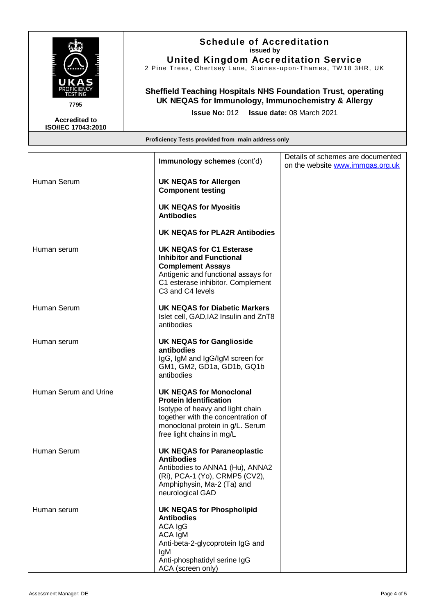

**Accredited to ISO/IEC 17043:2010** **Schedule of Accreditation issued by**

**United Kingdom Accreditation Service** 2 Pine Trees, Chertsey Lane, Staines-upon-Thames, TW18 3HR, UK

#### **Sheffield Teaching Hospitals NHS Foundation Trust, operating UK NEQAS for Immunology, Immunochemistry & Allergy**

**Issue No:** 012 **Issue date:** 08 March 2021

|                       | Immunology schemes (cont'd)                                                                                                                                                                                | Details of schemes are documented<br>on the website www.immgas.org.uk |
|-----------------------|------------------------------------------------------------------------------------------------------------------------------------------------------------------------------------------------------------|-----------------------------------------------------------------------|
| Human Serum           | <b>UK NEQAS for Allergen</b><br><b>Component testing</b>                                                                                                                                                   |                                                                       |
|                       | <b>UK NEQAS for Myositis</b><br><b>Antibodies</b>                                                                                                                                                          |                                                                       |
|                       | <b>UK NEQAS for PLA2R Antibodies</b>                                                                                                                                                                       |                                                                       |
| Human serum           | <b>UK NEQAS for C1 Esterase</b><br><b>Inhibitor and Functional</b><br><b>Complement Assays</b><br>Antigenic and functional assays for<br>C1 esterase inhibitor. Complement<br>C3 and C4 levels             |                                                                       |
| Human Serum           | <b>UK NEQAS for Diabetic Markers</b><br>Islet cell, GAD, IA2 Insulin and ZnT8<br>antibodies                                                                                                                |                                                                       |
| Human serum           | <b>UK NEQAS for Ganglioside</b><br>antibodies<br>IgG, IgM and IgG/IgM screen for<br>GM1, GM2, GD1a, GD1b, GQ1b<br>antibodies                                                                               |                                                                       |
| Human Serum and Urine | <b>UK NEQAS for Monoclonal</b><br><b>Protein Identification</b><br>Isotype of heavy and light chain<br>together with the concentration of<br>monoclonal protein in g/L. Serum<br>free light chains in mg/L |                                                                       |
| Human Serum           | <b>UK NEQAS for Paraneoplastic</b><br><b>Antibodies</b><br>Antibodies to ANNA1 (Hu), ANNA2<br>(Ri), PCA-1 (Yo), CRMP5 (CV2),<br>Amphiphysin, Ma-2 (Ta) and<br>neurological GAD                             |                                                                       |
| Human serum           | <b>UK NEQAS for Phospholipid</b><br><b>Antibodies</b><br>ACA IgG<br>ACA IgM<br>Anti-beta-2-glycoprotein IgG and<br>IgM<br>Anti-phosphatidyl serine IgG<br>ACA (screen only)                                |                                                                       |